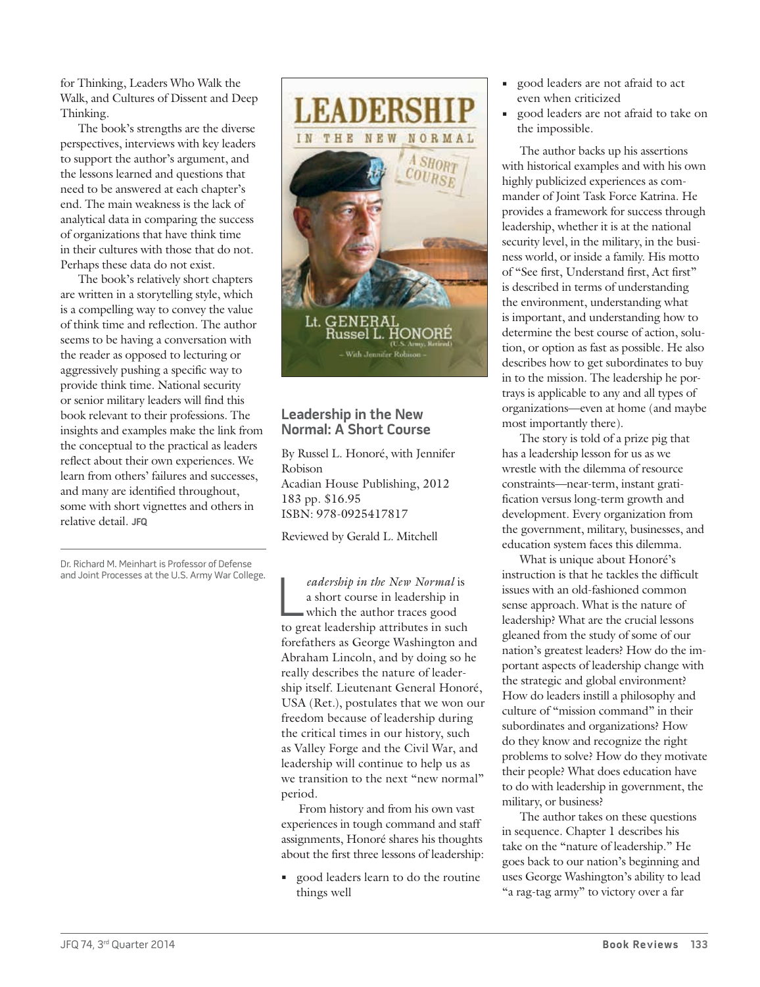for Thinking, Leaders Who Walk the Walk, and Cultures of Dissent and Deep Thinking*.*

The book's strengths are the diverse perspectives, interviews with key leaders to support the author's argument, and the lessons learned and questions that need to be answered at each chapter's end. The main weakness is the lack of analytical data in comparing the success of organizations that have think time in their cultures with those that do not. Perhaps these data do not exist.

The book's relatively short chapters are written in a storytelling style, which is a compelling way to convey the value of think time and reflection. The author seems to be having a conversation with the reader as opposed to lecturing or aggressively pushing a specific way to provide think time. National security or senior military leaders will find this book relevant to their professions. The insights and examples make the link from the conceptual to the practical as leaders reflect about their own experiences. We learn from others' failures and successes, and many are identified throughout, some with short vignettes and others in relative detail. **JFQ**

Dr. Richard M. Meinhart is Professor of Defense and Joint Processes at the U.S. Army War College.



## **Leadership in the New Normal: A Short Course**

By Russel L. Honoré, with Jennifer Robison Acadian House Publishing, 2012 183 pp. \$16.95 ISBN: 978-0925417817

Reviewed by Gerald L. Mitchell

eadership in the New Normal is<br>a short course in leadership in<br>which the author traces good<br>to great leadership attributes in such *eadership in the New Normal* is a short course in leadership in which the author traces good forefathers as George Washington and Abraham Lincoln, and by doing so he really describes the nature of leadership itself. Lieutenant General Honoré, USA (Ret.), postulates that we won our freedom because of leadership during the critical times in our history, such as Valley Forge and the Civil War, and leadership will continue to help us as we transition to the next "new normal" period.

From history and from his own vast experiences in tough command and staff assignments, Honoré shares his thoughts about the first three lessons of leadership:

**•** good leaders learn to do the routine things well

- **•** good leaders are not afraid to act even when criticized
- **•** good leaders are not afraid to take on the impossible.

The author backs up his assertions with historical examples and with his own highly publicized experiences as commander of Joint Task Force Katrina. He provides a framework for success through leadership, whether it is at the national security level, in the military, in the business world, or inside a family. His motto of "See first, Understand first, Act first" is described in terms of understanding the environment, understanding what is important, and understanding how to determine the best course of action, solution, or option as fast as possible. He also describes how to get subordinates to buy in to the mission. The leadership he portrays is applicable to any and all types of organizations—even at home (and maybe most importantly there).

The story is told of a prize pig that has a leadership lesson for us as we wrestle with the dilemma of resource constraints—near-term, instant gratification versus long-term growth and development. Every organization from the government, military, businesses, and education system faces this dilemma.

What is unique about Honoré's instruction is that he tackles the difficult issues with an old-fashioned common sense approach. What is the nature of leadership? What are the crucial lessons gleaned from the study of some of our nation's greatest leaders? How do the important aspects of leadership change with the strategic and global environment? How do leaders instill a philosophy and culture of "mission command" in their subordinates and organizations? How do they know and recognize the right problems to solve? How do they motivate their people? What does education have to do with leadership in government, the military, or business?

The author takes on these questions in sequence. Chapter 1 describes his take on the "nature of leadership." He goes back to our nation's beginning and uses George Washington's ability to lead "a rag-tag army" to victory over a far